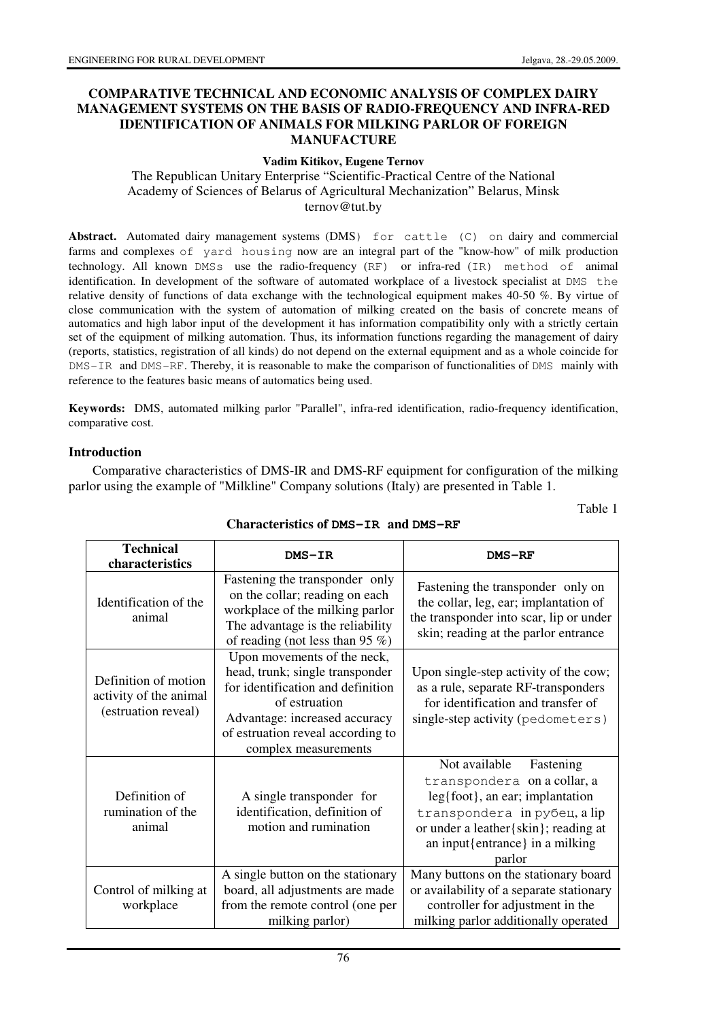Table 1

### **COMPARATIVE TECHNICAL AND ECONOMIC ANALYSIS OF COMPLEX DAIRY MANAGEMENT SYSTEMS ON THE BASIS OF RADIO-FREQUENCY AND INFRA-RED IDENTIFICATION OF ANIMALS FOR MILKING PARLOR OF FOREIGN MANUFACTURE**

#### **Vadim Kitikov, Eugene Ternov**

The Republican Unitary Enterprise "Scientific-Practical Centre of the National Academy of Sciences of Belarus of Agricultural Mechanization" Belarus, Minsk ternov@tut.by

Abstract. Automated dairy management systems (DMS) for cattle (C) on dairy and commercial farms and complexes of yard housing now are an integral part of the "know-how" of milk production technology. All known DMSs use the radio-frequency (RF) or infra-red (IR) method of animal identification. In development of the software of automated workplace of a livestock specialist at DMS the relative density of functions of data exchange with the technological equipment makes 40-50 %. By virtue of close communication with the system of automation of milking created on the basis of concrete means of automatics and high labor input of the development it has information compatibility only with a strictly certain set of the equipment of milking automation. Thus, its information functions regarding the management of dairy (reports, statistics, registration of all kinds) do not depend on the external equipment and as a whole coincide for DMS-IR and DMS-RF. Thereby, it is reasonable to make the comparison of functionalities of DMS mainly with reference to the features basic means of automatics being used.

**Keywords:** DMS, automated milking parlor "Parallel", infra-red identification, radio-frequency identification, comparative cost.

#### **Introduction**

Comparative characteristics of DMS-IR and DMS-RF equipment for configuration of the milking parlor using the example of "Milkline" Company solutions (Italy) are presented in Table 1.

| <b>Technical</b><br>characteristics                                   | DMS-IR                                                                                                                                                                                                             | <b>DMS-RF</b>                                                                                                                                                                                                             |
|-----------------------------------------------------------------------|--------------------------------------------------------------------------------------------------------------------------------------------------------------------------------------------------------------------|---------------------------------------------------------------------------------------------------------------------------------------------------------------------------------------------------------------------------|
| Identification of the<br>animal                                       | Fastening the transponder only<br>on the collar; reading on each<br>workplace of the milking parlor<br>The advantage is the reliability<br>of reading (not less than 95 $\%$ )                                     | Fastening the transponder only on<br>the collar, leg, ear; implantation of<br>the transponder into scar, lip or under<br>skin; reading at the parlor entrance                                                             |
| Definition of motion<br>activity of the animal<br>(estruation reveal) | Upon movements of the neck,<br>head, trunk; single transponder<br>for identification and definition<br>of estruation<br>Advantage: increased accuracy<br>of estruation reveal according to<br>complex measurements | Upon single-step activity of the cow;<br>as a rule, separate RF-transponders<br>for identification and transfer of<br>single-step activity (pedometers)                                                                   |
| Definition of<br>rumination of the<br>animal                          | A single transponder for<br>identification, definition of<br>motion and rumination                                                                                                                                 | Not available<br>Fastening<br>transpondera on a collar, a<br>$leg\{foot\}$ , an ear; implantation<br>transpondera in рубец, a lip<br>or under a leather { skin }; reading at<br>an input{entrance} in a milking<br>parlor |
| Control of milking at<br>workplace                                    | A single button on the stationary<br>board, all adjustments are made<br>from the remote control (one per<br>milking parlor)                                                                                        | Many buttons on the stationary board<br>or availability of a separate stationary<br>controller for adjustment in the<br>milking parlor additionally operated                                                              |

#### **Characteristics of DMS-IR and DMS-RF**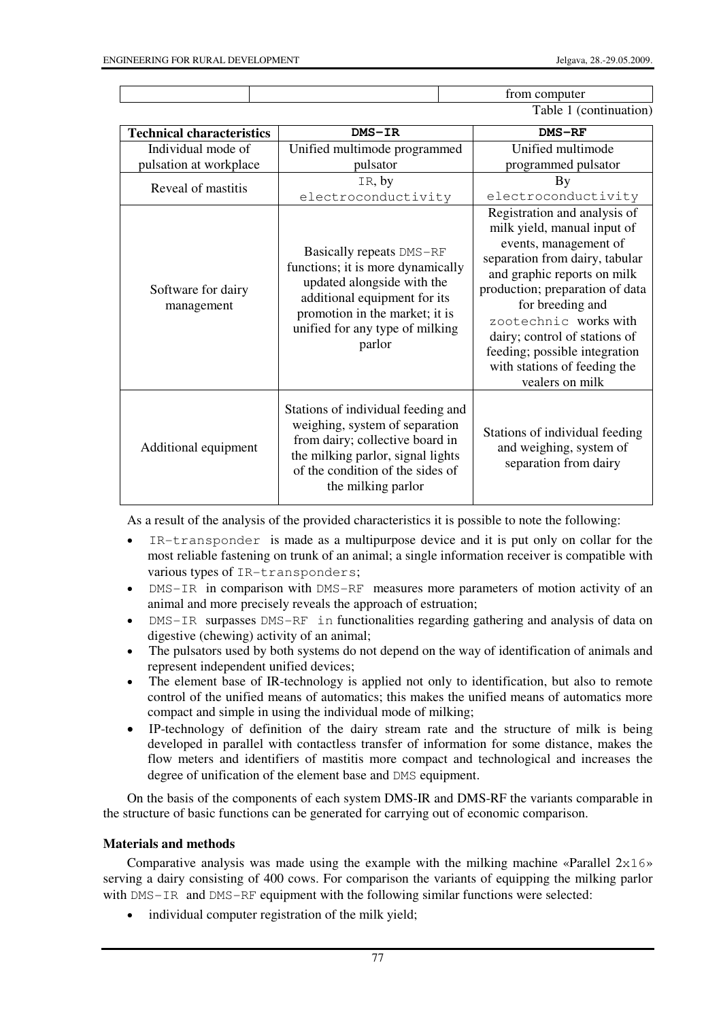|  | from computer             |
|--|---------------------------|
|  | Table .<br>(continuation) |

| <b>Technical characteristics</b> | DMS-IR                                                                                                                                                                                                     | <b>DMS-RF</b>                                                                                                                                                                                                                                                                                                                                              |  |
|----------------------------------|------------------------------------------------------------------------------------------------------------------------------------------------------------------------------------------------------------|------------------------------------------------------------------------------------------------------------------------------------------------------------------------------------------------------------------------------------------------------------------------------------------------------------------------------------------------------------|--|
| Individual mode of               | Unified multimode programmed                                                                                                                                                                               | Unified multimode                                                                                                                                                                                                                                                                                                                                          |  |
| pulsation at workplace           | pulsator                                                                                                                                                                                                   | programmed pulsator                                                                                                                                                                                                                                                                                                                                        |  |
| Reveal of mastitis               | IR, by                                                                                                                                                                                                     | By                                                                                                                                                                                                                                                                                                                                                         |  |
|                                  | electroconductivity                                                                                                                                                                                        | electroconductivity                                                                                                                                                                                                                                                                                                                                        |  |
| Software for dairy<br>management | Basically repeats DMS-RF<br>functions; it is more dynamically<br>updated alongside with the<br>additional equipment for its<br>promotion in the market; it is<br>unified for any type of milking<br>parlor | Registration and analysis of<br>milk yield, manual input of<br>events, management of<br>separation from dairy, tabular<br>and graphic reports on milk<br>production; preparation of data<br>for breeding and<br>zootechnic works with<br>dairy; control of stations of<br>feeding; possible integration<br>with stations of feeding the<br>vealers on milk |  |
| Additional equipment             | Stations of individual feeding and<br>weighing, system of separation<br>from dairy; collective board in<br>the milking parlor, signal lights<br>of the condition of the sides of<br>the milking parlor     | Stations of individual feeding<br>and weighing, system of<br>separation from dairy                                                                                                                                                                                                                                                                         |  |

As a result of the analysis of the provided characteristics it is possible to note the following:

- IR-transponder is made as a multipurpose device and it is put only on collar for the most reliable fastening on trunk of an animal; a single information receiver is compatible with various types of IR-transponders;
- DMS-IR in comparison with DMS-RF measures more parameters of motion activity of an animal and more precisely reveals the approach of estruation;
- DMS-IR surpasses DMS-RF in functionalities regarding gathering and analysis of data on digestive (chewing) activity of an animal;
- The pulsators used by both systems do not depend on the way of identification of animals and represent independent unified devices;
- The element base of IR-technology is applied not only to identification, but also to remote control of the unified means of automatics; this makes the unified means of automatics more compact and simple in using the individual mode of milking;
- ΙΡ-technology of definition of the dairy stream rate and the structure of milk is being developed in parallel with contactless transfer of information for some distance, makes the flow meters and identifiers of mastitis more compact and technological and increases the degree of unification of the element base and DMS equipment.

On the basis of the components of each system DMS-IR and DMS-RF the variants comparable in the structure of basic functions can be generated for carrying out of economic comparison.

## **Materials and methods**

Comparative analysis was made using the example with the milking machine «Parallel  $2x16$ » serving a dairy consisting of 400 cows. For comparison the variants of equipping the milking parlor with DMS-IR and DMS-RF equipment with the following similar functions were selected:

• individual computer registration of the milk yield: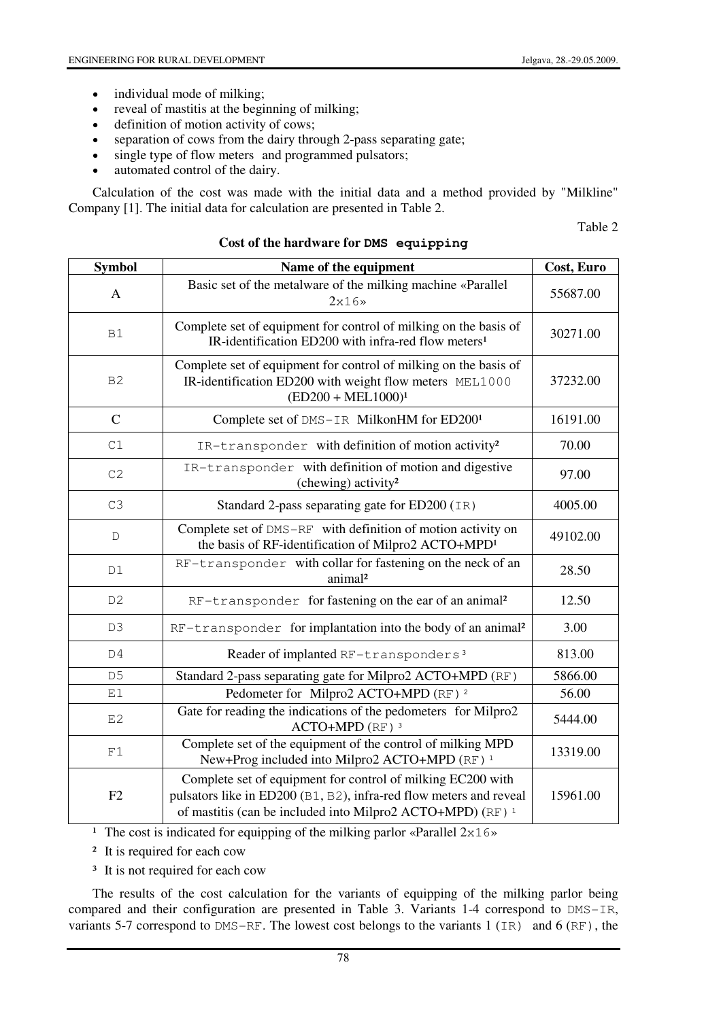- individual mode of milking;
- reveal of mastitis at the beginning of milking;
- definition of motion activity of cows;
- separation of cows from the dairy through 2-pass separating gate;
- single type of flow meters and programmed pulsators;
- automated control of the dairy.

Calculation of the cost was made with the initial data and a method provided by "Milkline" Company [1]. The initial data for calculation are presented in Table 2.

Table 2

| <b>Symbol</b>  | Name of the equipment                                                                                                                                                                                      | Cost, Euro |
|----------------|------------------------------------------------------------------------------------------------------------------------------------------------------------------------------------------------------------|------------|
| A              | Basic set of the metalware of the milking machine «Parallel<br>$2x16*$                                                                                                                                     | 55687.00   |
| <b>B1</b>      | Complete set of equipment for control of milking on the basis of<br>IR-identification ED200 with infra-red flow meters <sup>1</sup>                                                                        | 30271.00   |
| B <sub>2</sub> | Complete set of equipment for control of milking on the basis of<br>IR-identification ED200 with weight flow meters MEL1000<br>$(ED200 + MEL1000)^1$                                                       | 37232.00   |
| $\mathsf{C}$   | Complete set of DMS-IR MilkonHM for ED2001                                                                                                                                                                 | 16191.00   |
| C1             | IR-transponder with definition of motion activity <sup>2</sup>                                                                                                                                             | 70.00      |
| C2             | IR-transponder with definition of motion and digestive<br>(chewing) activity <sup>2</sup>                                                                                                                  | 97.00      |
| C3             | Standard 2-pass separating gate for ED200 (IR)                                                                                                                                                             | 4005.00    |
| D              | Complete set of DMS-RF with definition of motion activity on<br>the basis of RF-identification of Milpro2 ACTO+MPD <sup>1</sup>                                                                            | 49102.00   |
| D1             | RF-transponder with collar for fastening on the neck of an<br>animal <sup>2</sup>                                                                                                                          | 28.50      |
| D <sub>2</sub> | RF-transponder for fastening on the ear of an animal <sup>2</sup>                                                                                                                                          | 12.50      |
| D <sub>3</sub> | RF-transponder for implantation into the body of an animal <sup>2</sup>                                                                                                                                    | 3.00       |
| D4             | Reader of implanted RF-transponders <sup>3</sup>                                                                                                                                                           | 813.00     |
| D <sub>5</sub> | Standard 2-pass separating gate for Milpro2 ACTO+MPD (RF)                                                                                                                                                  | 5866.00    |
| E1             | Pedometer for Milpro2 ACTO+MPD (RF) <sup>2</sup>                                                                                                                                                           | 56.00      |
| E2             | Gate for reading the indications of the pedometers for Milpro2<br>$ACTO+MPD$ (RF) <sup>3</sup>                                                                                                             | 5444.00    |
| $\rm F1$       | Complete set of the equipment of the control of milking MPD<br>New+Prog included into Milpro2 ACTO+MPD (RF) <sup>1</sup>                                                                                   | 13319.00   |
| F2             | Complete set of equipment for control of milking EC200 with<br>pulsators like in ED200 (B1, B2), infra-red flow meters and reveal<br>of mastitis (can be included into Milpro2 ACTO+MPD) (RF) <sup>1</sup> | 15961.00   |

#### **Cost of the hardware for DMS equipping**

<sup>1</sup> The cost is indicated for equipping of the milking parlor «Parallel  $2x16$ »

² It is required for each cow

<sup>3</sup> It is not required for each cow

The results of the cost calculation for the variants of equipping of the milking parlor being compared and their configuration are presented in Table 3. Variants 1-4 correspond to DMS-IR, variants 5-7 correspond to DMS-RF. The lowest cost belongs to the variants 1 (IR) and 6 (RF), the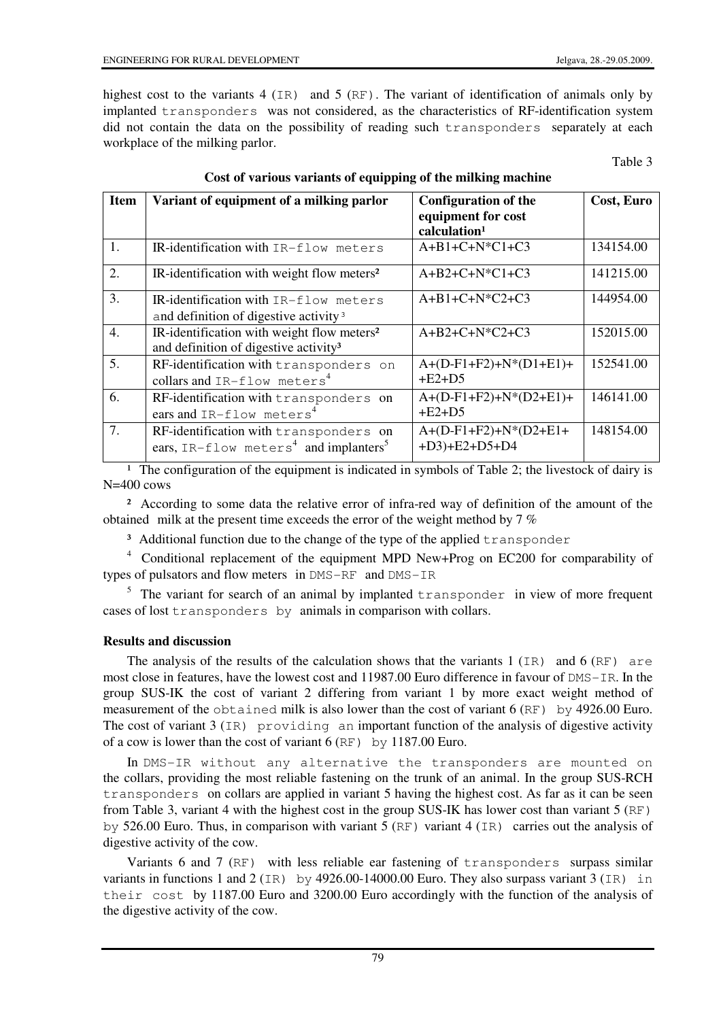highest cost to the variants 4 (IR) and 5 (RF). The variant of identification of animals only by implanted transponders was not considered, as the characteristics of RF-identification system did not contain the data on the possibility of reading such transponders separately at each workplace of the milking parlor.

Table 3

| <b>Item</b>      | Variant of equipment of a milking parlor                                                                    | <b>Configuration of the</b>                    | Cost, Euro |
|------------------|-------------------------------------------------------------------------------------------------------------|------------------------------------------------|------------|
|                  |                                                                                                             | equipment for cost<br>calculation <sup>1</sup> |            |
| 1.               | IR-identification with IR-flow meters                                                                       | $A+B1+C+N*C1+C3$                               | 134154.00  |
| 2.               | IR-identification with weight flow meters <sup>2</sup>                                                      | $A+B2+C+N*C1+C3$                               | 141215.00  |
| 3.               | $IR$ -identification with $IR-flow$ meters<br>and definition of digestive activity <sup>3</sup>             | $A+B1+C+N*C2+C3$                               | 144954.00  |
| $\overline{4}$ . | IR-identification with weight flow meters <sup>2</sup><br>and definition of digestive activity <sup>3</sup> | $A + B2 + C + N^*C2 + C3$                      | 152015.00  |
| 5.               | RF-identification with transponders on<br>collars and IR-flow meters <sup>4</sup>                           | $A+(D-F1+F2)+N*(D1+E1)+$<br>$+E2+D5$           | 152541.00  |
| 6.               | RF-identification with transponders on<br>ears and IR-flow meters <sup>4</sup>                              | $A+(D-F1+F2)+N*(D2+E1)+$<br>$+E2+D5$           | 146141.00  |
| 7.               | RF-identification with transponders on<br>ears, IR-flow meters <sup>4</sup> and implanters <sup>5</sup>     | $A+(D-F1+F2)+N*(D2+E1+$<br>$+D3$ )+E2+D5+D4    | 148154.00  |

# **Cost of various variants of equipping of the milking machine**

<sup>1</sup> The configuration of the equipment is indicated in symbols of Table 2; the livestock of dairy is N=400 cows

² According to some data the relative error of infra-red way of definition of the amount of the obtained milk at the present time exceeds the error of the weight method by 7 %

<sup>3</sup> Additional function due to the change of the type of the applied transponder

<sup>4</sup> Conditional replacement of the equipment MPD New+Prog on EC200 for comparability of types of pulsators and flow meters in DMS-RF and DMS-IR

 $5$  The variant for search of an animal by implanted transponder in view of more frequent cases of lost transponders by animals in comparison with collars.

## **Results and discussion**

The analysis of the results of the calculation shows that the variants 1  $(IR)$  and 6  $(RF)$  are most close in features, have the lowest cost and 11987.00 Euro difference in favour of DMS-IR. In the group SUS-IK the cost of variant 2 differing from variant 1 by more exact weight method of measurement of the obtained milk is also lower than the cost of variant 6 (RF) by 4926.00 Euro. The cost of variant 3 (IR) providing an important function of the analysis of digestive activity of a cow is lower than the cost of variant 6 (RF) by 1187.00 Euro.

In DMS-IR without any alternative the transponders are mounted on the collars, providing the most reliable fastening on the trunk of an animal. In the group SUS-RCH transponders on collars are applied in variant 5 having the highest cost. As far as it can be seen from Table 3, variant 4 with the highest cost in the group SUS-IK has lower cost than variant 5 (RF) by 526.00 Euro. Thus, in comparison with variant 5 (RF) variant 4 (IR) carries out the analysis of digestive activity of the cow.

Variants 6 and 7 (RF) with less reliable ear fastening of transponders surpass similar variants in functions 1 and 2 (IR) by 4926.00-14000.00 Euro. They also surpass variant 3 (IR) in their cost by 1187.00 Euro and 3200.00 Euro accordingly with the function of the analysis of the digestive activity of the cow.